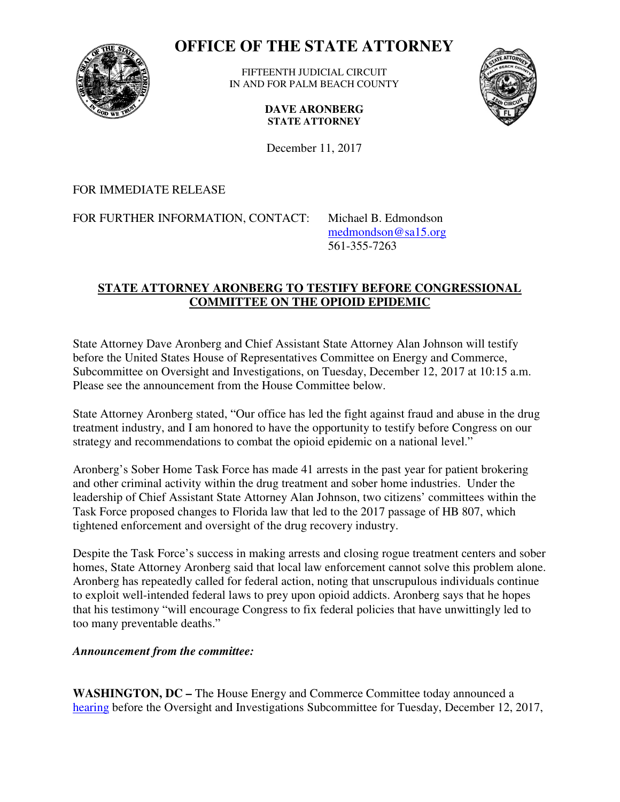

## **OFFICE OF THE STATE ATTORNEY STATE**

IN AND FOR PALM BEACH COUNTY FIFTEENTH JUDICIAL CIRCUIT



**DAVE ARONBERG STATE ATTORNEY** 

December 11, 2017

## FOR IMMEDIATE RELEASE

FOR FURTHER INFORMATION, CONTACT: Michael B. Edmondson

 medmondson@sa15.org 561-355-7263

## **STATE ATTORNEY ARONBERG TO TESTIFY BEFORE CONGRESSIONAL ARONBERG TO COMMITTEE ON THE OPIOID EPIDEMIC**

State Attorney Dave Aronberg and Chief Assistant State Attorney Alan Johnson will testify before the United States House of Representatives Committee on Energy and Commerce, before the United States House of Representatives Committee on Energy and Commerce,<br>Subcommittee on Oversight and Investigations, on Tuesday, December 12, 2017 at 10:15 a.m. Please see the announcement from the House Committee below.

State Attorney Aronberg stated, "Our office has led the fight against fraud and abuse in the drug treatment industry, and I am honored to have the opportunity to testify before Congress on our treatment industry, and I am honored to have the opportunity to testify before Cong<br>strategy and recommendations to combat the opioid epidemic on a national level."

strategy and recommendations to combat the opioid epidemic on a national level."<br>Aronberg's Sober Home Task Force has made 41 arrests in the past year for patient brokering<br>and other criminal activity within the drug treat and other criminal activity within the drug treatment and sober home industries. Under th leadership of Chief Assistant State Attorney Alan Johnson, two citizens' committees within the Task Force proposed changes to Florida law that led to the 2017 passage of HB 807, which tightened enforcement and oversight of the drug recovery industry. tightened enforcement and oversight of the drug recovery industry.

Despite the Task Force's success in making arrests and closing rogue treatment centers and sober Despite the Task Force's success in making arrests and closing rogue treatment centers and sober homes, State Attorney Aronberg said that local law enforcement cannot solve this problem alone. Aronberg has repeatedly called for federal action, noting that unscrupulous individuals continue to exploit well-intended federal laws to prey upon opioid addicts. Aronberg says that he hopes that his testimony "will encourage Congress to fix federal policies that have unwittingly led to too many preventable deaths." oting that unscrupulous is<br>pioid addicts. Aronberg s<br>ederal policies that have<br>mmerce Committee toda<br>pcommittee for Tuesday,

## *Announcement from the committee:*

**WASHINGTON, DC –** The House Energy and Commerce Committee today announced a WASHINGTON, DC – The House Energy and Commerce Committee today announced a hearing before the Oversight and Investigations Subcommittee for Tuesday, December 12, 2017,